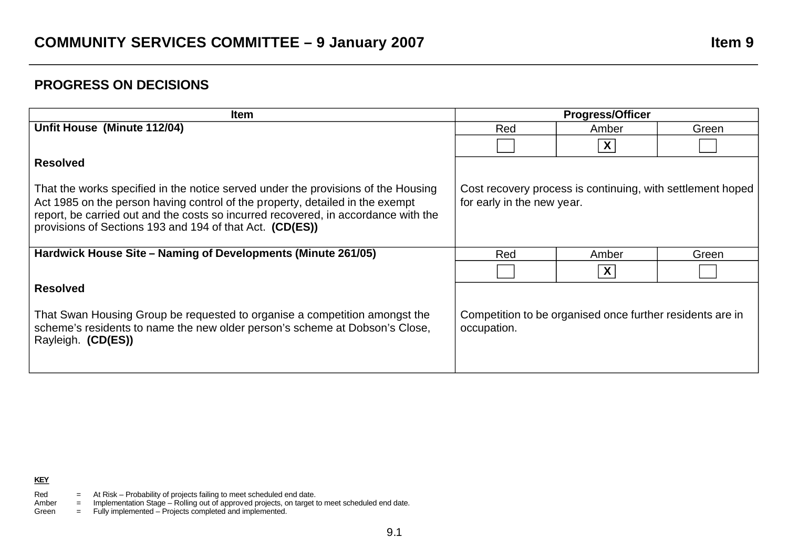## **PROGRESS ON DECISIONS**

| <b>Item</b>                                                                                                                                                                                                                                                                                                          | <b>Progress/Officer</b>                                                                  |                  |       |
|----------------------------------------------------------------------------------------------------------------------------------------------------------------------------------------------------------------------------------------------------------------------------------------------------------------------|------------------------------------------------------------------------------------------|------------------|-------|
| Unfit House (Minute 112/04)                                                                                                                                                                                                                                                                                          | Red                                                                                      | Amber            | Green |
|                                                                                                                                                                                                                                                                                                                      |                                                                                          | $\boldsymbol{X}$ |       |
| <b>Resolved</b>                                                                                                                                                                                                                                                                                                      |                                                                                          |                  |       |
| That the works specified in the notice served under the provisions of the Housing<br>Act 1985 on the person having control of the property, detailed in the exempt<br>report, be carried out and the costs so incurred recovered, in accordance with the<br>provisions of Sections 193 and 194 of that Act. (CD(ES)) | Cost recovery process is continuing, with settlement hoped<br>for early in the new year. |                  |       |
| Hardwick House Site – Naming of Developments (Minute 261/05)                                                                                                                                                                                                                                                         | Red                                                                                      | Amber            | Green |
|                                                                                                                                                                                                                                                                                                                      |                                                                                          | X                |       |
| <b>Resolved</b>                                                                                                                                                                                                                                                                                                      |                                                                                          |                  |       |
| That Swan Housing Group be requested to organise a competition amongst the<br>scheme's residents to name the new older person's scheme at Dobson's Close,<br>Rayleigh. (CD(ES))                                                                                                                                      | Competition to be organised once further residents are in<br>occupation.                 |                  |       |

- Red  $=$  At Risk Probability of projects failing to meet scheduled end date.
- Amber = Implementation Stage Rolling out of approved projects, on target to meet scheduled end date.
- Green = Fully implemented Projects completed and implemented.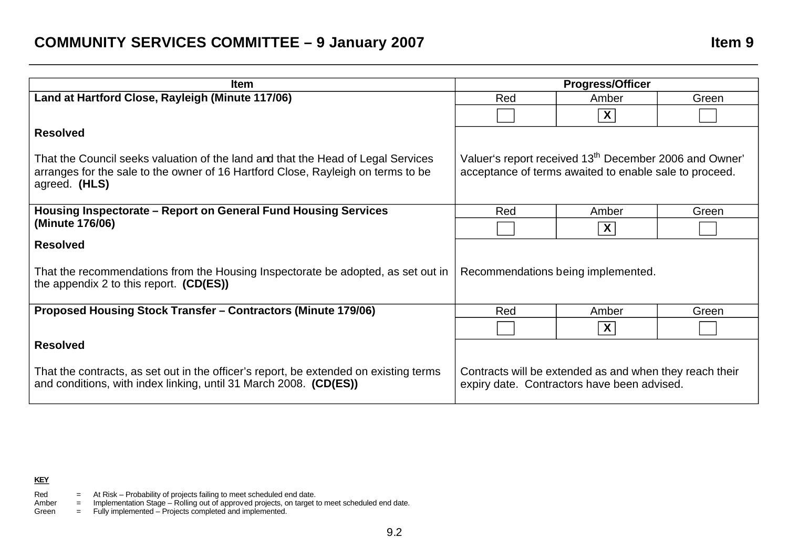| <b>Item</b>                                                                                                                                                                           | <b>Progress/Officer</b>                                                                                                      |       |       |
|---------------------------------------------------------------------------------------------------------------------------------------------------------------------------------------|------------------------------------------------------------------------------------------------------------------------------|-------|-------|
| Land at Hartford Close, Rayleigh (Minute 117/06)                                                                                                                                      | Red                                                                                                                          | Amber | Green |
|                                                                                                                                                                                       |                                                                                                                              | X     |       |
| <b>Resolved</b>                                                                                                                                                                       |                                                                                                                              |       |       |
| That the Council seeks valuation of the land and that the Head of Legal Services<br>arranges for the sale to the owner of 16 Hartford Close, Rayleigh on terms to be<br>agreed. (HLS) | Valuer's report received 13 <sup>th</sup> December 2006 and Owner'<br>acceptance of terms awaited to enable sale to proceed. |       |       |
| Housing Inspectorate – Report on General Fund Housing Services                                                                                                                        | Red                                                                                                                          | Amber | Green |
| (Minute 176/06)                                                                                                                                                                       |                                                                                                                              | X     |       |
| <b>Resolved</b>                                                                                                                                                                       |                                                                                                                              |       |       |
| That the recommendations from the Housing Inspectorate be adopted, as set out in<br>the appendix 2 to this report. $(CD(ES))$                                                         | Recommendations being implemented.                                                                                           |       |       |
| <b>Proposed Housing Stock Transfer - Contractors (Minute 179/06)</b>                                                                                                                  | Red                                                                                                                          | Amber | Green |
|                                                                                                                                                                                       |                                                                                                                              | X     |       |
| <b>Resolved</b>                                                                                                                                                                       |                                                                                                                              |       |       |
| That the contracts, as set out in the officer's report, be extended on existing terms<br>and conditions, with index linking, until 31 March 2008. (CD(ES))                            | Contracts will be extended as and when they reach their<br>expiry date. Contractors have been advised.                       |       |       |

**KEY** 

- Red  $=$  At Risk Probability of projects failing to meet scheduled end date.
- Amber = Implementation Stage Rolling out of approved projects, on target to meet scheduled end date.

Green = Fully implemented – Projects completed and implemented.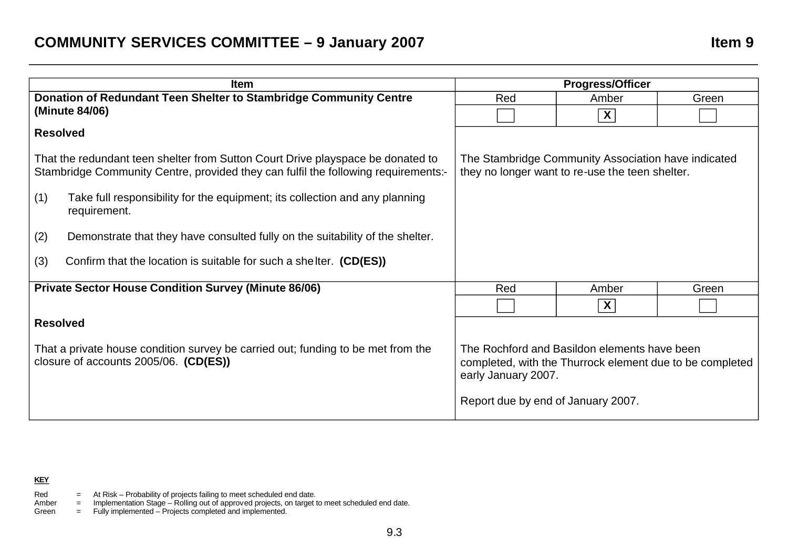## **COMMUNITY SERVICES COMMITTEE - 9 January 2007 Item 9**

| <b>Item</b>                                                       |                                                                                                                                                                       | <b>Progress/Officer</b>                                                                                                                                               |                         |       |
|-------------------------------------------------------------------|-----------------------------------------------------------------------------------------------------------------------------------------------------------------------|-----------------------------------------------------------------------------------------------------------------------------------------------------------------------|-------------------------|-------|
| Donation of Redundant Teen Shelter to Stambridge Community Centre |                                                                                                                                                                       | Red                                                                                                                                                                   | Amber                   | Green |
|                                                                   | (Minute 84/06)                                                                                                                                                        |                                                                                                                                                                       | $\overline{\mathbf{X}}$ |       |
| <b>Resolved</b>                                                   |                                                                                                                                                                       |                                                                                                                                                                       |                         |       |
|                                                                   | That the redundant teen shelter from Sutton Court Drive playspace be donated to<br>Stambridge Community Centre, provided they can fulfil the following requirements:- | The Stambridge Community Association have indicated<br>they no longer want to re-use the teen shelter.                                                                |                         |       |
| (1)                                                               | Take full responsibility for the equipment; its collection and any planning<br>requirement.                                                                           |                                                                                                                                                                       |                         |       |
| (2)                                                               | Demonstrate that they have consulted fully on the suitability of the shelter.                                                                                         |                                                                                                                                                                       |                         |       |
| (3)                                                               | Confirm that the location is suitable for such a shelter. (CD(ES))                                                                                                    |                                                                                                                                                                       |                         |       |
| <b>Private Sector House Condition Survey (Minute 86/06)</b>       |                                                                                                                                                                       | Red                                                                                                                                                                   | Amber                   | Green |
|                                                                   |                                                                                                                                                                       |                                                                                                                                                                       | $\mathsf{X}$            |       |
| <b>Resolved</b>                                                   |                                                                                                                                                                       |                                                                                                                                                                       |                         |       |
|                                                                   | That a private house condition survey be carried out; funding to be met from the<br>closure of accounts 2005/06. (CD(ES))                                             | The Rochford and Basildon elements have been<br>completed, with the Thurrock element due to be completed<br>early January 2007.<br>Report due by end of January 2007. |                         |       |
|                                                                   |                                                                                                                                                                       |                                                                                                                                                                       |                         |       |

## **KEY**

- Red  $=$  At Risk Probability of projects failing to meet scheduled end date.
- Amber = Implementation Stage Rolling out of approved projects, on target to meet scheduled end date.
- Green = Fully implemented Projects completed and implemented.